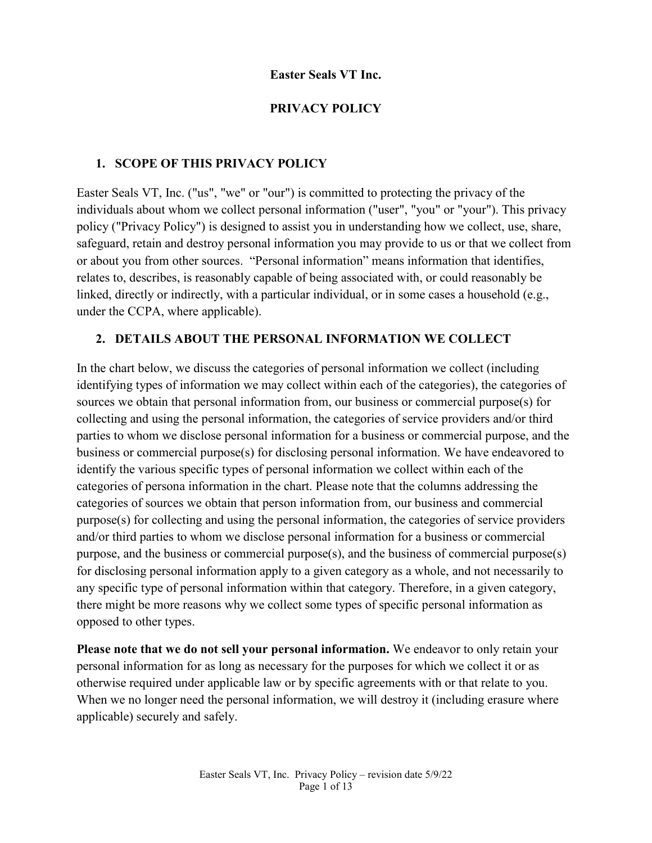#### **Easter Seals VT Inc.**

#### **PRIVACY POLICY**

#### **1. SCOPE OF THIS PRIVACY POLICY**

Easter Seals VT, Inc. ("us", "we" or "our") is committed to protecting the privacy of the individuals about whom we collect personal information ("user", "you" or "your"). This privacy policy ("Privacy Policy") is designed to assist you in understanding how we collect, use, share, safeguard, retain and destroy personal information you may provide to us or that we collect from or about you from other sources. "Personal information" means information that identifies, relates to, describes, is reasonably capable of being associated with, or could reasonably be linked, directly or indirectly, with a particular individual, or in some cases a household (e.g., under the CCPA, where applicable).

#### **2. DETAILS ABOUT THE PERSONAL INFORMATION WE COLLECT**

In the chart below, we discuss the categories of personal information we collect (including identifying types of information we may collect within each of the categories), the categories of sources we obtain that personal information from, our business or commercial purpose(s) for collecting and using the personal information, the categories of service providers and/or third parties to whom we disclose personal information for a business or commercial purpose, and the business or commercial purpose(s) for disclosing personal information. We have endeavored to identify the various specific types of personal information we collect within each of the categories of persona information in the chart. Please note that the columns addressing the categories of sources we obtain that person information from, our business and commercial purpose(s) for collecting and using the personal information, the categories of service providers and/or third parties to whom we disclose personal information for a business or commercial purpose, and the business or commercial purpose(s), and the business of commercial purpose(s) for disclosing personal information apply to a given category as a whole, and not necessarily to any specific type of personal information within that category. Therefore, in a given category, there might be more reasons why we collect some types of specific personal information as opposed to other types.

**Please note that we do not sell your personal information.** We endeavor to only retain your personal information for as long as necessary for the purposes for which we collect it or as otherwise required under applicable law or by specific agreements with or that relate to you. When we no longer need the personal information, we will destroy it (including erasure where applicable) securely and safely.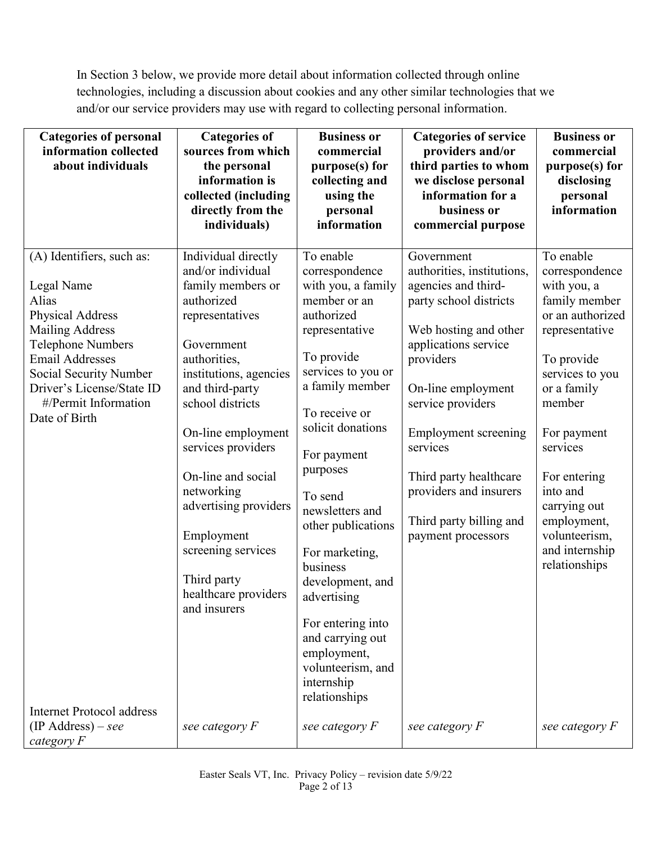In Section 3 below, we provide more detail about information collected through online technologies, including a discussion about cookies and any other similar technologies that we and/or our service providers may use with regard to collecting personal information.

| <b>Categories of personal</b><br>information collected<br>about individuals                                                                                                                                                                                                              | <b>Categories of</b><br>sources from which<br>the personal<br>information is<br>collected (including<br>directly from the<br>individuals)                                                                                                                                                                                                                                                         | <b>Business or</b><br>commercial<br>purpose(s) for<br>collecting and<br>using the<br>personal<br>information                                                                                                                                                                                                                                                                                                                                               | <b>Categories of service</b><br>providers and/or<br>third parties to whom<br>we disclose personal<br>information for a<br>business or<br>commercial purpose                                                                                                                                                                                        | <b>Business or</b><br>commercial<br>purpose(s) for<br>disclosing<br>personal<br>information                                                                                                                                                                                                           |
|------------------------------------------------------------------------------------------------------------------------------------------------------------------------------------------------------------------------------------------------------------------------------------------|---------------------------------------------------------------------------------------------------------------------------------------------------------------------------------------------------------------------------------------------------------------------------------------------------------------------------------------------------------------------------------------------------|------------------------------------------------------------------------------------------------------------------------------------------------------------------------------------------------------------------------------------------------------------------------------------------------------------------------------------------------------------------------------------------------------------------------------------------------------------|----------------------------------------------------------------------------------------------------------------------------------------------------------------------------------------------------------------------------------------------------------------------------------------------------------------------------------------------------|-------------------------------------------------------------------------------------------------------------------------------------------------------------------------------------------------------------------------------------------------------------------------------------------------------|
| (A) Identifiers, such as:<br>Legal Name<br>Alias<br><b>Physical Address</b><br><b>Mailing Address</b><br><b>Telephone Numbers</b><br><b>Email Addresses</b><br>Social Security Number<br>Driver's License/State ID<br>#/Permit Information<br>Date of Birth<br>Internet Protocol address | Individual directly<br>and/or individual<br>family members or<br>authorized<br>representatives<br>Government<br>authorities,<br>institutions, agencies<br>and third-party<br>school districts<br>On-line employment<br>services providers<br>On-line and social<br>networking<br>advertising providers<br>Employment<br>screening services<br>Third party<br>healthcare providers<br>and insurers | To enable<br>correspondence<br>with you, a family<br>member or an<br>authorized<br>representative<br>To provide<br>services to you or<br>a family member<br>To receive or<br>solicit donations<br>For payment<br>purposes<br>To send<br>newsletters and<br>other publications<br>For marketing,<br>business<br>development, and<br>advertising<br>For entering into<br>and carrying out<br>employment,<br>volunteerism, and<br>internship<br>relationships | Government<br>authorities, institutions,<br>agencies and third-<br>party school districts<br>Web hosting and other<br>applications service<br>providers<br>On-line employment<br>service providers<br><b>Employment</b> screening<br>services<br>Third party healthcare<br>providers and insurers<br>Third party billing and<br>payment processors | To enable<br>correspondence<br>with you, a<br>family member<br>or an authorized<br>representative<br>To provide<br>services to you<br>or a family<br>member<br>For payment<br>services<br>For entering<br>into and<br>carrying out<br>employment,<br>volunteerism,<br>and internship<br>relationships |
| $(IP Address) - see$<br>category F                                                                                                                                                                                                                                                       | see category $F$                                                                                                                                                                                                                                                                                                                                                                                  | see category F                                                                                                                                                                                                                                                                                                                                                                                                                                             | see category F                                                                                                                                                                                                                                                                                                                                     | see category F                                                                                                                                                                                                                                                                                        |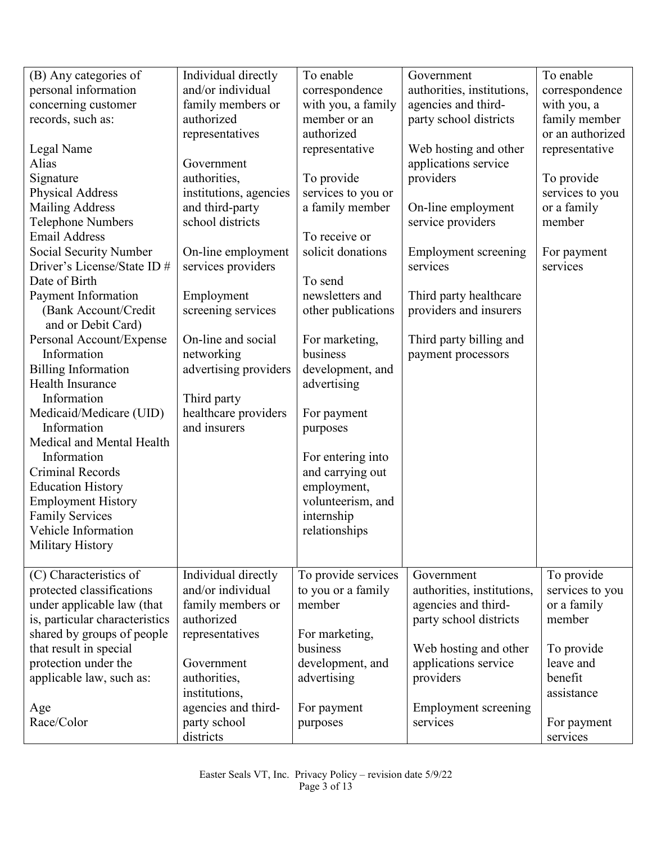| (B) Any categories of          | Individual directly    | To enable           | Government                  | To enable        |
|--------------------------------|------------------------|---------------------|-----------------------------|------------------|
| personal information           | and/or individual      | correspondence      | authorities, institutions,  | correspondence   |
| concerning customer            | family members or      | with you, a family  | agencies and third-         | with you, a      |
| records, such as:              | authorized             | member or an        | party school districts      | family member    |
|                                | representatives        | authorized          |                             | or an authorized |
| Legal Name                     |                        | representative      | Web hosting and other       | representative   |
| Alias                          | Government             |                     | applications service        |                  |
| Signature                      | authorities,           | To provide          | providers                   | To provide       |
| <b>Physical Address</b>        | institutions, agencies | services to you or  |                             | services to you  |
| <b>Mailing Address</b>         | and third-party        | a family member     | On-line employment          | or a family      |
| <b>Telephone Numbers</b>       | school districts       |                     | service providers           | member           |
| <b>Email Address</b>           |                        | To receive or       |                             |                  |
| Social Security Number         | On-line employment     | solicit donations   | Employment screening        | For payment      |
| Driver's License/State ID #    | services providers     |                     | services                    | services         |
| Date of Birth                  |                        | To send             |                             |                  |
| Payment Information            | Employment             | newsletters and     | Third party healthcare      |                  |
| (Bank Account/Credit           | screening services     | other publications  | providers and insurers      |                  |
| and or Debit Card)             |                        |                     |                             |                  |
| Personal Account/Expense       | On-line and social     | For marketing,      | Third party billing and     |                  |
| Information                    | networking             | business            | payment processors          |                  |
| <b>Billing Information</b>     | advertising providers  | development, and    |                             |                  |
| Health Insurance               |                        | advertising         |                             |                  |
| Information                    | Third party            |                     |                             |                  |
| Medicaid/Medicare (UID)        | healthcare providers   | For payment         |                             |                  |
| Information                    | and insurers           | purposes            |                             |                  |
| Medical and Mental Health      |                        |                     |                             |                  |
| Information                    |                        | For entering into   |                             |                  |
| <b>Criminal Records</b>        |                        | and carrying out    |                             |                  |
| <b>Education History</b>       |                        | employment,         |                             |                  |
| <b>Employment History</b>      |                        | volunteerism, and   |                             |                  |
| <b>Family Services</b>         |                        | internship          |                             |                  |
| Vehicle Information            |                        | relationships       |                             |                  |
| Military History               |                        |                     |                             |                  |
|                                |                        |                     |                             |                  |
| (C) Characteristics of         | Individual directly    | To provide services | Government                  | To provide       |
| protected classifications      | and/or individual      | to you or a family  | authorities, institutions,  | services to you  |
| under applicable law (that     | family members or      | member              | agencies and third-         | or a family      |
| is, particular characteristics | authorized             |                     | party school districts      | member           |
| shared by groups of people     | representatives        | For marketing,      |                             |                  |
| that result in special         |                        | business            | Web hosting and other       | To provide       |
| protection under the           | Government             | development, and    | applications service        | leave and        |
| applicable law, such as:       | authorities,           | advertising         | providers                   | benefit          |
|                                | institutions,          |                     |                             | assistance       |
| Age                            | agencies and third-    | For payment         | <b>Employment screening</b> |                  |
| Race/Color                     | party school           | purposes            | services                    | For payment      |
|                                | districts              |                     |                             | services         |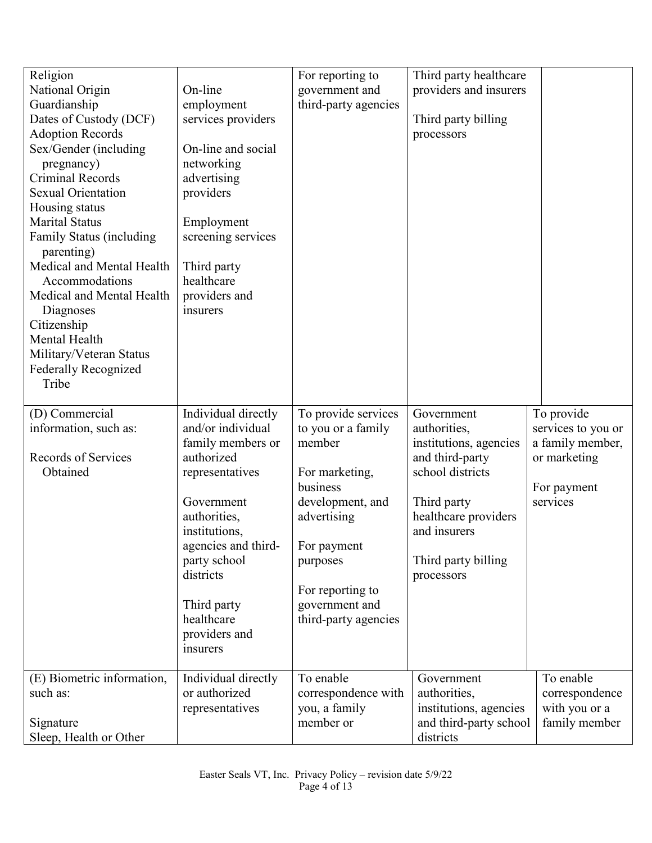| Religion                    |                     | For reporting to     | Third party healthcare |                    |
|-----------------------------|---------------------|----------------------|------------------------|--------------------|
| National Origin             | On-line             | government and       | providers and insurers |                    |
| Guardianship                | employment          | third-party agencies |                        |                    |
| Dates of Custody (DCF)      | services providers  |                      | Third party billing    |                    |
| <b>Adoption Records</b>     |                     |                      | processors             |                    |
| Sex/Gender (including       | On-line and social  |                      |                        |                    |
| pregnancy)                  | networking          |                      |                        |                    |
| <b>Criminal Records</b>     | advertising         |                      |                        |                    |
| <b>Sexual Orientation</b>   | providers           |                      |                        |                    |
| Housing status              |                     |                      |                        |                    |
| <b>Marital Status</b>       | Employment          |                      |                        |                    |
| Family Status (including    | screening services  |                      |                        |                    |
| parenting)                  |                     |                      |                        |                    |
| Medical and Mental Health   | Third party         |                      |                        |                    |
| Accommodations              | healthcare          |                      |                        |                    |
| Medical and Mental Health   | providers and       |                      |                        |                    |
| Diagnoses                   | insurers            |                      |                        |                    |
| Citizenship                 |                     |                      |                        |                    |
| Mental Health               |                     |                      |                        |                    |
| Military/Veteran Status     |                     |                      |                        |                    |
| <b>Federally Recognized</b> |                     |                      |                        |                    |
| Tribe                       |                     |                      |                        |                    |
|                             |                     |                      |                        |                    |
| (D) Commercial              | Individual directly | To provide services  | Government             | To provide         |
| information, such as:       | and/or individual   | to you or a family   | authorities,           | services to you or |
|                             | family members or   | member               | institutions, agencies | a family member,   |
| Records of Services         | authorized          |                      | and third-party        | or marketing       |
| Obtained                    | representatives     | For marketing,       | school districts       |                    |
|                             |                     | business             |                        | For payment        |
|                             | Government          | development, and     | Third party            | services           |
|                             | authorities,        | advertising          | healthcare providers   |                    |
|                             | institutions,       |                      | and insurers           |                    |
|                             | agencies and third- | For payment          |                        |                    |
|                             | party school        | purposes             | Third party billing    |                    |
|                             | districts           |                      | processors             |                    |
|                             |                     | For reporting to     |                        |                    |
|                             | Third party         | government and       |                        |                    |
|                             | healthcare          | third-party agencies |                        |                    |
|                             | providers and       |                      |                        |                    |
|                             | insurers            |                      |                        |                    |
|                             |                     |                      |                        |                    |
| (E) Biometric information,  | Individual directly | To enable            | Government             | To enable          |
| such as:                    | or authorized       | correspondence with  | authorities,           | correspondence     |
|                             | representatives     | you, a family        | institutions, agencies | with you or a      |
| Signature                   |                     | member or            | and third-party school | family member      |
| Sleep, Health or Other      |                     |                      |                        |                    |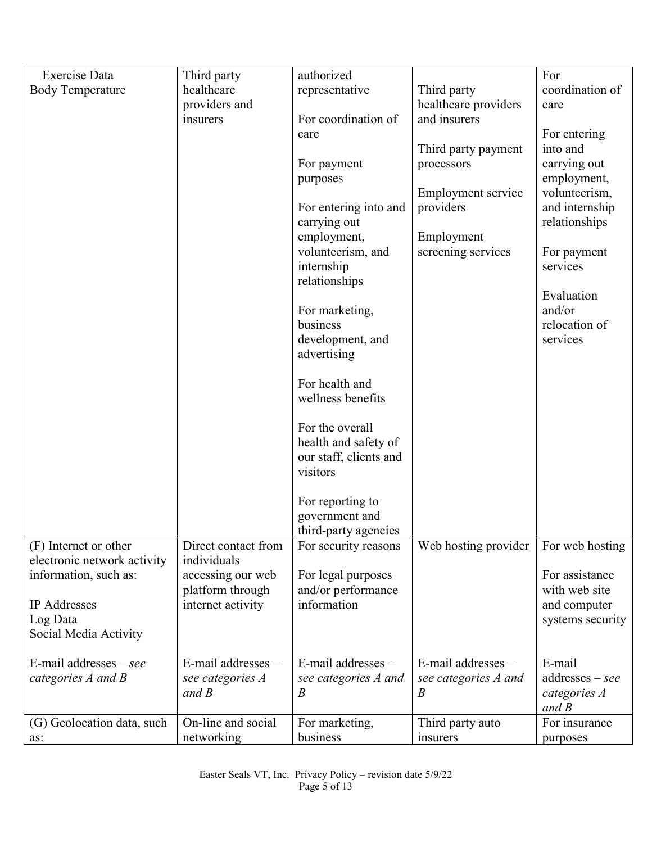| <b>Exercise</b> Data        | Third party                           | authorized                               |                         | For               |
|-----------------------------|---------------------------------------|------------------------------------------|-------------------------|-------------------|
| <b>Body Temperature</b>     | healthcare                            | representative                           | Third party             | coordination of   |
|                             | providers and                         |                                          | healthcare providers    | care              |
|                             | insurers                              | For coordination of                      | and insurers            |                   |
|                             |                                       | care                                     |                         | For entering      |
|                             |                                       |                                          | Third party payment     | into and          |
|                             |                                       | For payment                              | processors              | carrying out      |
|                             |                                       | purposes                                 |                         | employment,       |
|                             |                                       |                                          | Employment service      | volunteerism,     |
|                             |                                       | For entering into and                    | providers               | and internship    |
|                             |                                       | carrying out                             |                         | relationships     |
|                             |                                       | employment,                              | Employment              |                   |
|                             |                                       | volunteerism, and                        | screening services      | For payment       |
|                             |                                       | internship<br>relationships              |                         | services          |
|                             |                                       |                                          |                         | Evaluation        |
|                             |                                       | For marketing,                           |                         | and/or            |
|                             |                                       | business                                 |                         | relocation of     |
|                             |                                       | development, and                         |                         | services          |
|                             |                                       | advertising                              |                         |                   |
|                             |                                       |                                          |                         |                   |
|                             |                                       | For health and                           |                         |                   |
|                             |                                       | wellness benefits                        |                         |                   |
|                             |                                       |                                          |                         |                   |
|                             |                                       | For the overall                          |                         |                   |
|                             |                                       | health and safety of                     |                         |                   |
|                             |                                       | our staff, clients and                   |                         |                   |
|                             |                                       | visitors                                 |                         |                   |
|                             |                                       |                                          |                         |                   |
|                             |                                       | For reporting to                         |                         |                   |
|                             |                                       | government and                           |                         |                   |
|                             |                                       | third-party agencies                     |                         |                   |
| (F) Internet or other       | Direct contact from                   | For security reasons                     | Web hosting provider    | For web hosting   |
| electronic network activity | individuals                           |                                          |                         | For assistance    |
| information, such as:       | accessing our web<br>platform through | For legal purposes<br>and/or performance |                         | with web site     |
| IP Addresses                | internet activity                     | information                              |                         | and computer      |
| Log Data                    |                                       |                                          |                         | systems security  |
| Social Media Activity       |                                       |                                          |                         |                   |
|                             |                                       |                                          |                         |                   |
| E-mail addresses $-$ see    | $E$ -mail addresses $-$               | $E$ -mail addresses $-$                  | $E$ -mail addresses $-$ | E-mail            |
| categories A and B          | see categories A                      | see categories A and                     | see categories A and    | $addresses - see$ |
|                             | and $B$                               | $\boldsymbol{B}$                         | B                       | categories A      |
|                             |                                       |                                          |                         | and $B$           |
| (G) Geolocation data, such  | On-line and social                    | For marketing,                           | Third party auto        | For insurance     |
| as:                         | networking                            | business                                 | insurers                | purposes          |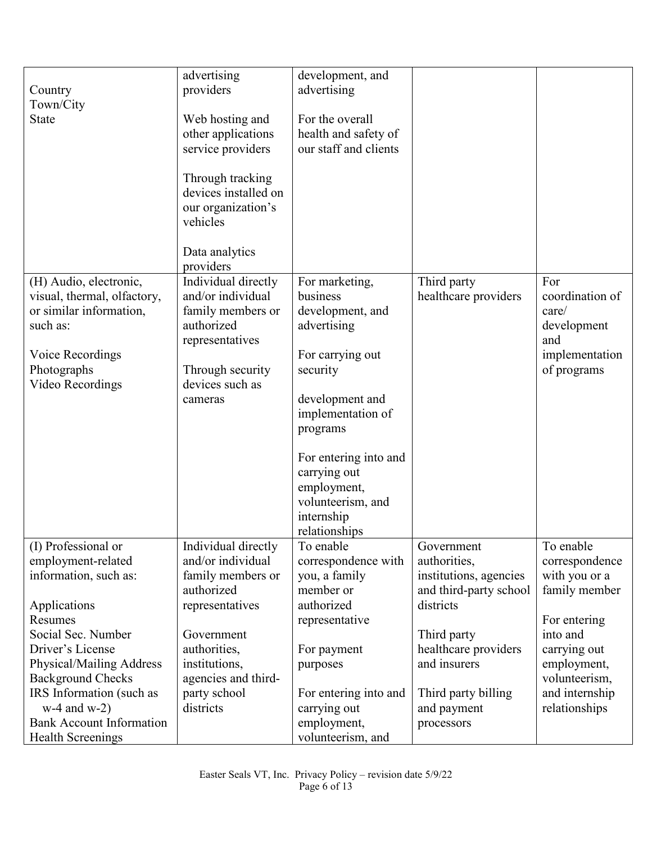|                                 | advertising          | development, and      |                        |                          |
|---------------------------------|----------------------|-----------------------|------------------------|--------------------------|
| Country                         | providers            | advertising           |                        |                          |
| Town/City                       |                      |                       |                        |                          |
| <b>State</b>                    | Web hosting and      | For the overall       |                        |                          |
|                                 | other applications   | health and safety of  |                        |                          |
|                                 | service providers    | our staff and clients |                        |                          |
|                                 |                      |                       |                        |                          |
|                                 | Through tracking     |                       |                        |                          |
|                                 | devices installed on |                       |                        |                          |
|                                 | our organization's   |                       |                        |                          |
|                                 | vehicles             |                       |                        |                          |
|                                 |                      |                       |                        |                          |
|                                 | Data analytics       |                       |                        |                          |
|                                 | providers            |                       |                        |                          |
| (H) Audio, electronic,          | Individual directly  | For marketing,        | Third party            | For                      |
| visual, thermal, olfactory,     | and/or individual    | business              | healthcare providers   | coordination of          |
| or similar information,         | family members or    | development, and      |                        | care/                    |
| such as:                        | authorized           | advertising           |                        | development              |
|                                 | representatives      |                       |                        | and                      |
| Voice Recordings                |                      | For carrying out      |                        | implementation           |
| Photographs                     | Through security     | security              |                        | of programs              |
| Video Recordings                | devices such as      |                       |                        |                          |
|                                 | cameras              | development and       |                        |                          |
|                                 |                      | implementation of     |                        |                          |
|                                 |                      |                       |                        |                          |
|                                 |                      | programs              |                        |                          |
|                                 |                      | For entering into and |                        |                          |
|                                 |                      | carrying out          |                        |                          |
|                                 |                      | employment,           |                        |                          |
|                                 |                      | volunteerism, and     |                        |                          |
|                                 |                      | internship            |                        |                          |
|                                 |                      | relationships         |                        |                          |
| (I) Professional or             | Individual directly  | To enable             | Government             | To enable                |
| employment-related              | and/or individual    | correspondence with   | authorities,           | correspondence           |
| information, such as:           | family members or    | you, a family         | institutions, agencies | with you or a            |
|                                 | authorized           | member or             | and third-party school | family member            |
|                                 | representatives      | authorized            | districts              |                          |
| Applications<br>Resumes         |                      |                       |                        |                          |
| Social Sec. Number              |                      | representative        |                        | For entering<br>into and |
|                                 | Government           |                       | Third party            |                          |
| Driver's License                | authorities,         | For payment           | healthcare providers   | carrying out             |
| Physical/Mailing Address        | institutions,        | purposes              | and insurers           | employment,              |
| <b>Background Checks</b>        | agencies and third-  |                       |                        | volunteerism,            |
| IRS Information (such as        | party school         | For entering into and | Third party billing    | and internship           |
| $w-4$ and $w-2$ )               | districts            | carrying out          | and payment            | relationships            |
| <b>Bank Account Information</b> |                      | employment,           | processors             |                          |
| <b>Health Screenings</b>        |                      | volunteerism, and     |                        |                          |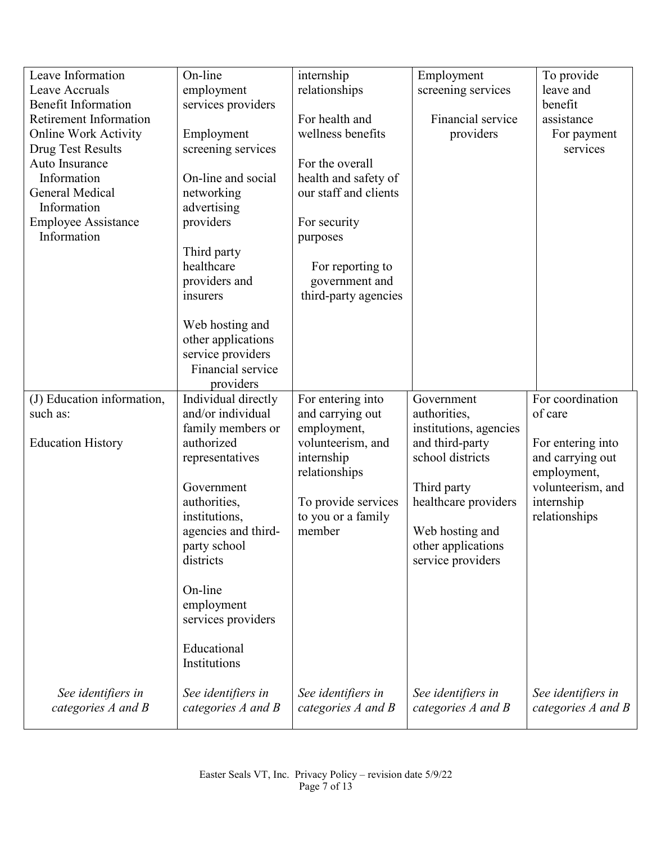| Leave Information                            | On-line                                | internship                  | Employment             | To provide                       |
|----------------------------------------------|----------------------------------------|-----------------------------|------------------------|----------------------------------|
| Leave Accruals<br><b>Benefit Information</b> | employment<br>services providers       | relationships               | screening services     | leave and<br>benefit             |
| <b>Retirement Information</b>                |                                        | For health and              | Financial service      | assistance                       |
| <b>Online Work Activity</b>                  | Employment                             | wellness benefits           | providers              | For payment                      |
| <b>Drug Test Results</b>                     | screening services                     |                             |                        | services                         |
| Auto Insurance                               |                                        | For the overall             |                        |                                  |
| Information                                  | On-line and social                     | health and safety of        |                        |                                  |
| <b>General Medical</b>                       | networking                             | our staff and clients       |                        |                                  |
| Information                                  | advertising                            |                             |                        |                                  |
| <b>Employee Assistance</b><br>Information    | providers                              | For security                |                        |                                  |
|                                              | Third party                            | purposes                    |                        |                                  |
|                                              | healthcare                             | For reporting to            |                        |                                  |
|                                              | providers and                          | government and              |                        |                                  |
|                                              | insurers                               | third-party agencies        |                        |                                  |
|                                              |                                        |                             |                        |                                  |
|                                              | Web hosting and                        |                             |                        |                                  |
|                                              | other applications                     |                             |                        |                                  |
|                                              | service providers<br>Financial service |                             |                        |                                  |
|                                              | providers                              |                             |                        |                                  |
| (J) Education information,                   | Individual directly                    | For entering into           | Government             | For coordination                 |
| such as:                                     | and/or individual                      | and carrying out            | authorities,           | of care                          |
|                                              | family members or                      | employment,                 | institutions, agencies |                                  |
| <b>Education History</b>                     | authorized                             | volunteerism, and           | and third-party        | For entering into                |
|                                              | representatives                        | internship<br>relationships | school districts       | and carrying out                 |
|                                              | Government                             |                             | Third party            | employment,<br>volunteerism, and |
|                                              | authorities,                           | To provide services         | healthcare providers   | internship                       |
|                                              | institutions,                          | to you or a family          |                        | relationships                    |
|                                              | agencies and third-                    | member                      | Web hosting and        |                                  |
|                                              | party school                           |                             | other applications     |                                  |
|                                              | districts                              |                             | service providers      |                                  |
|                                              | On-line                                |                             |                        |                                  |
|                                              | employment                             |                             |                        |                                  |
|                                              | services providers                     |                             |                        |                                  |
|                                              |                                        |                             |                        |                                  |
|                                              | Educational                            |                             |                        |                                  |
|                                              | Institutions                           |                             |                        |                                  |
| See identifiers in                           | See identifiers in                     | See identifiers in          | See identifiers in     | See identifiers in               |
| categories A and B                           | categories A and B                     | categories A and B          | categories A and B     | categories A and B               |
|                                              |                                        |                             |                        |                                  |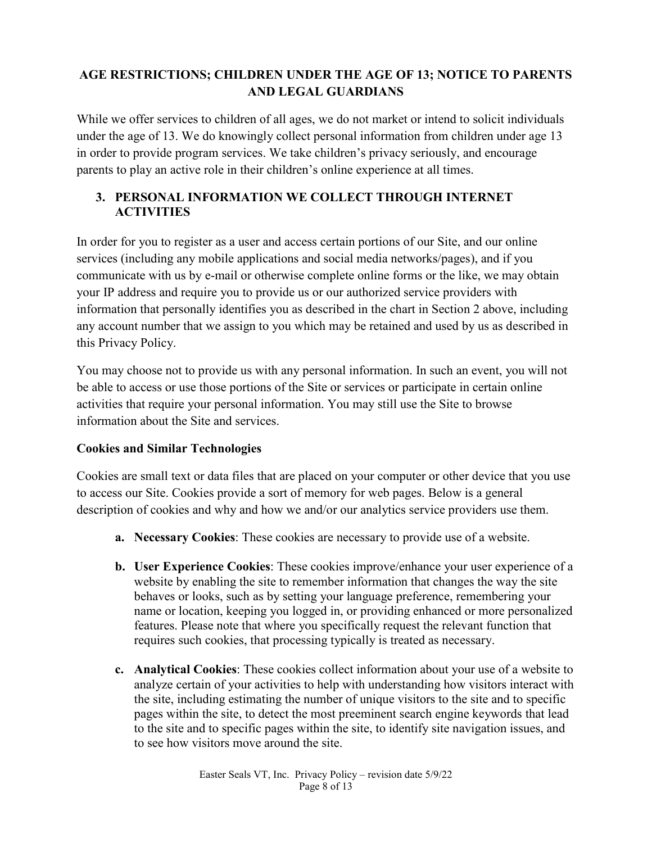## **AGE RESTRICTIONS; CHILDREN UNDER THE AGE OF 13; NOTICE TO PARENTS AND LEGAL GUARDIANS**

While we offer services to children of all ages, we do not market or intend to solicit individuals under the age of 13. We do knowingly collect personal information from children under age 13 in order to provide program services. We take children's privacy seriously, and encourage parents to play an active role in their children's online experience at all times.

### **3. PERSONAL INFORMATION WE COLLECT THROUGH INTERNET ACTIVITIES**

In order for you to register as a user and access certain portions of our Site, and our online services (including any mobile applications and social media networks/pages), and if you communicate with us by e-mail or otherwise complete online forms or the like, we may obtain your IP address and require you to provide us or our authorized service providers with information that personally identifies you as described in the chart in Section 2 above, including any account number that we assign to you which may be retained and used by us as described in this Privacy Policy.

You may choose not to provide us with any personal information. In such an event, you will not be able to access or use those portions of the Site or services or participate in certain online activities that require your personal information. You may still use the Site to browse information about the Site and services.

### **Cookies and Similar Technologies**

Cookies are small text or data files that are placed on your computer or other device that you use to access our Site. Cookies provide a sort of memory for web pages. Below is a general description of cookies and why and how we and/or our analytics service providers use them.

- **a. Necessary Cookies**: These cookies are necessary to provide use of a website.
- **b. User Experience Cookies**: These cookies improve/enhance your user experience of a website by enabling the site to remember information that changes the way the site behaves or looks, such as by setting your language preference, remembering your name or location, keeping you logged in, or providing enhanced or more personalized features. Please note that where you specifically request the relevant function that requires such cookies, that processing typically is treated as necessary.
- **c. Analytical Cookies**: These cookies collect information about your use of a website to analyze certain of your activities to help with understanding how visitors interact with the site, including estimating the number of unique visitors to the site and to specific pages within the site, to detect the most preeminent search engine keywords that lead to the site and to specific pages within the site, to identify site navigation issues, and to see how visitors move around the site.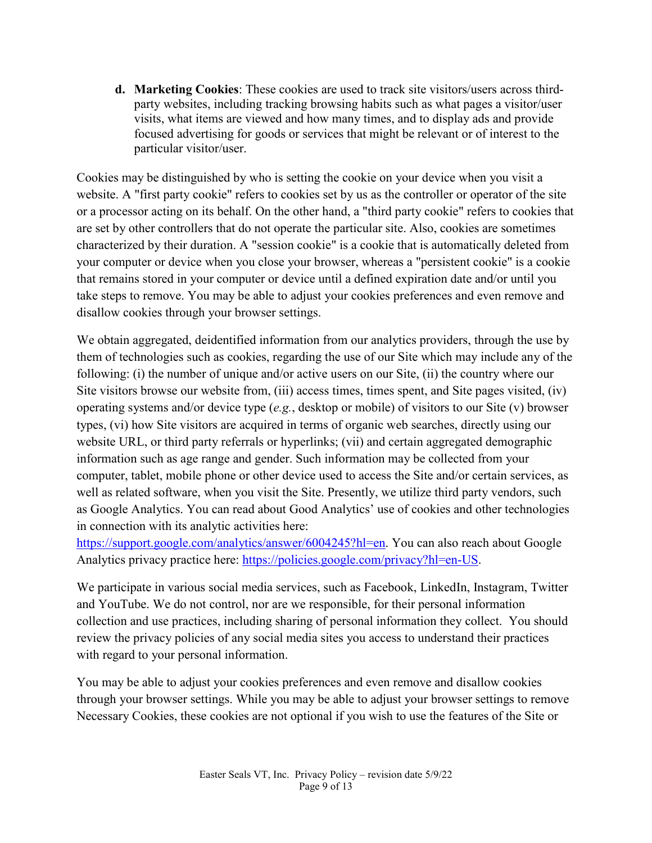**d. Marketing Cookies**: These cookies are used to track site visitors/users across thirdparty websites, including tracking browsing habits such as what pages a visitor/user visits, what items are viewed and how many times, and to display ads and provide focused advertising for goods or services that might be relevant or of interest to the particular visitor/user.

Cookies may be distinguished by who is setting the cookie on your device when you visit a website. A "first party cookie" refers to cookies set by us as the controller or operator of the site or a processor acting on its behalf. On the other hand, a "third party cookie" refers to cookies that are set by other controllers that do not operate the particular site. Also, cookies are sometimes characterized by their duration. A "session cookie" is a cookie that is automatically deleted from your computer or device when you close your browser, whereas a "persistent cookie" is a cookie that remains stored in your computer or device until a defined expiration date and/or until you take steps to remove. You may be able to adjust your cookies preferences and even remove and disallow cookies through your browser settings.

We obtain aggregated, deidentified information from our analytics providers, through the use by them of technologies such as cookies, regarding the use of our Site which may include any of the following: (i) the number of unique and/or active users on our Site, (ii) the country where our Site visitors browse our website from, (iii) access times, times spent, and Site pages visited, (iv) operating systems and/or device type (*e.g.*, desktop or mobile) of visitors to our Site (v) browser types, (vi) how Site visitors are acquired in terms of organic web searches, directly using our website URL, or third party referrals or hyperlinks; (vii) and certain aggregated demographic information such as age range and gender. Such information may be collected from your computer, tablet, mobile phone or other device used to access the Site and/or certain services, as well as related software, when you visit the Site. Presently, we utilize third party vendors, such as Google Analytics. You can read about Good Analytics' use of cookies and other technologies in connection with its analytic activities here:

[https://support.google.com/analytics/answer/6004245?hl=en.](https://support.google.com/analytics/answer/6004245?hl=en) You can also reach about Google Analytics privacy practice here: [https://policies.google.com/privacy?hl=en-US.](https://policies.google.com/privacy?hl=en-US)

We participate in various social media services, such as Facebook, LinkedIn, Instagram, Twitter and YouTube. We do not control, nor are we responsible, for their personal information collection and use practices, including sharing of personal information they collect. You should review the privacy policies of any social media sites you access to understand their practices with regard to your personal information.

You may be able to adjust your cookies preferences and even remove and disallow cookies through your browser settings. While you may be able to adjust your browser settings to remove Necessary Cookies, these cookies are not optional if you wish to use the features of the Site or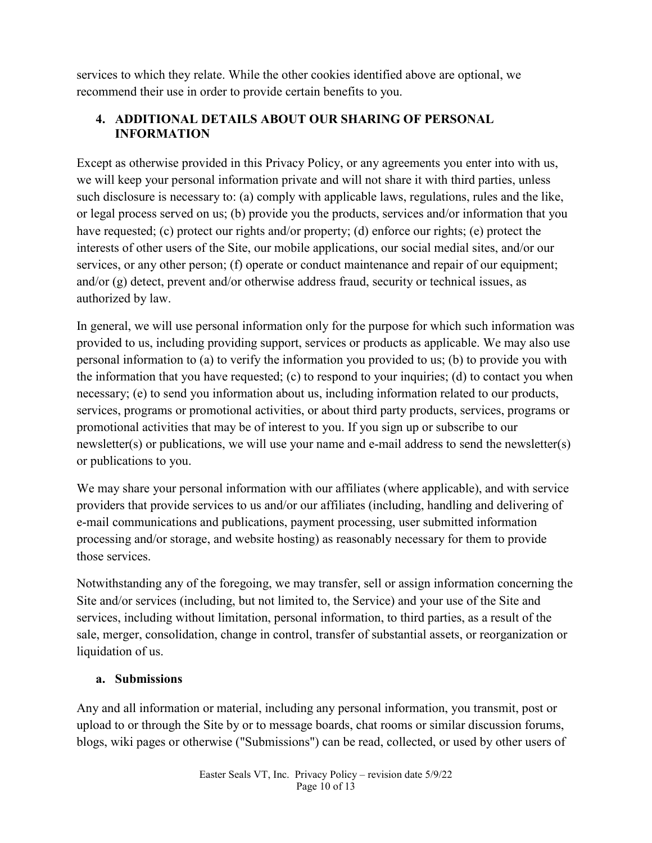services to which they relate. While the other cookies identified above are optional, we recommend their use in order to provide certain benefits to you.

### **4. ADDITIONAL DETAILS ABOUT OUR SHARING OF PERSONAL INFORMATION**

Except as otherwise provided in this Privacy Policy, or any agreements you enter into with us, we will keep your personal information private and will not share it with third parties, unless such disclosure is necessary to: (a) comply with applicable laws, regulations, rules and the like, or legal process served on us; (b) provide you the products, services and/or information that you have requested; (c) protect our rights and/or property; (d) enforce our rights; (e) protect the interests of other users of the Site, our mobile applications, our social medial sites, and/or our services, or any other person; (f) operate or conduct maintenance and repair of our equipment; and/or (g) detect, prevent and/or otherwise address fraud, security or technical issues, as authorized by law.

In general, we will use personal information only for the purpose for which such information was provided to us, including providing support, services or products as applicable. We may also use personal information to (a) to verify the information you provided to us; (b) to provide you with the information that you have requested; (c) to respond to your inquiries; (d) to contact you when necessary; (e) to send you information about us, including information related to our products, services, programs or promotional activities, or about third party products, services, programs or promotional activities that may be of interest to you. If you sign up or subscribe to our newsletter(s) or publications, we will use your name and e-mail address to send the newsletter(s) or publications to you.

We may share your personal information with our affiliates (where applicable), and with service providers that provide services to us and/or our affiliates (including, handling and delivering of e-mail communications and publications, payment processing, user submitted information processing and/or storage, and website hosting) as reasonably necessary for them to provide those services.

Notwithstanding any of the foregoing, we may transfer, sell or assign information concerning the Site and/or services (including, but not limited to, the Service) and your use of the Site and services, including without limitation, personal information, to third parties, as a result of the sale, merger, consolidation, change in control, transfer of substantial assets, or reorganization or liquidation of us.

### **a. Submissions**

Any and all information or material, including any personal information, you transmit, post or upload to or through the Site by or to message boards, chat rooms or similar discussion forums, blogs, wiki pages or otherwise ("Submissions") can be read, collected, or used by other users of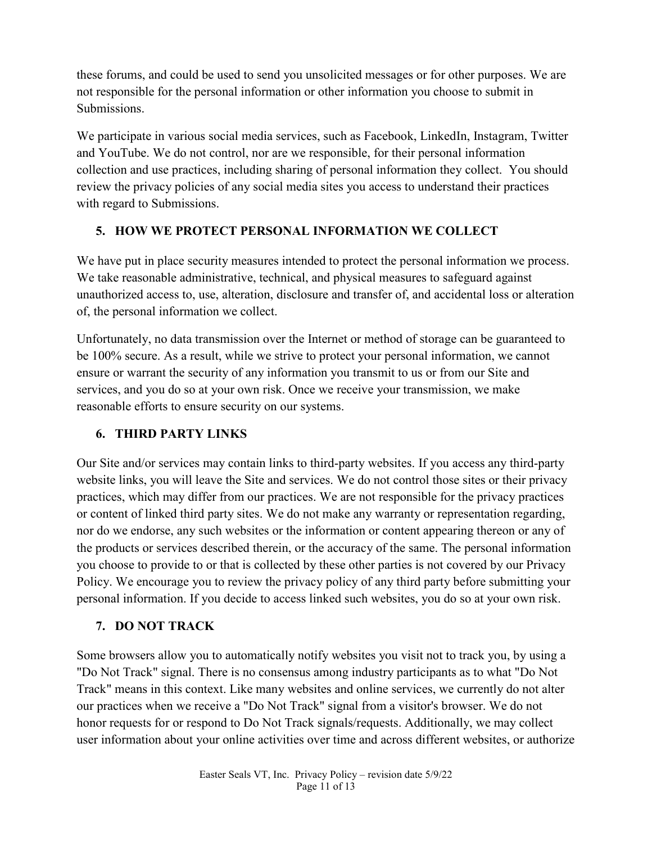these forums, and could be used to send you unsolicited messages or for other purposes. We are not responsible for the personal information or other information you choose to submit in Submissions.

We participate in various social media services, such as Facebook, LinkedIn, Instagram, Twitter and YouTube. We do not control, nor are we responsible, for their personal information collection and use practices, including sharing of personal information they collect. You should review the privacy policies of any social media sites you access to understand their practices with regard to Submissions.

## **5. HOW WE PROTECT PERSONAL INFORMATION WE COLLECT**

We have put in place security measures intended to protect the personal information we process. We take reasonable administrative, technical, and physical measures to safeguard against unauthorized access to, use, alteration, disclosure and transfer of, and accidental loss or alteration of, the personal information we collect.

Unfortunately, no data transmission over the Internet or method of storage can be guaranteed to be 100% secure. As a result, while we strive to protect your personal information, we cannot ensure or warrant the security of any information you transmit to us or from our Site and services, and you do so at your own risk. Once we receive your transmission, we make reasonable efforts to ensure security on our systems.

# **6. THIRD PARTY LINKS**

Our Site and/or services may contain links to third-party websites. If you access any third-party website links, you will leave the Site and services. We do not control those sites or their privacy practices, which may differ from our practices. We are not responsible for the privacy practices or content of linked third party sites. We do not make any warranty or representation regarding, nor do we endorse, any such websites or the information or content appearing thereon or any of the products or services described therein, or the accuracy of the same. The personal information you choose to provide to or that is collected by these other parties is not covered by our Privacy Policy. We encourage you to review the privacy policy of any third party before submitting your personal information. If you decide to access linked such websites, you do so at your own risk.

# **7. DO NOT TRACK**

Some browsers allow you to automatically notify websites you visit not to track you, by using a "Do Not Track" signal. There is no consensus among industry participants as to what "Do Not Track" means in this context. Like many websites and online services, we currently do not alter our practices when we receive a "Do Not Track" signal from a visitor's browser. We do not honor requests for or respond to Do Not Track signals/requests. Additionally, we may collect user information about your online activities over time and across different websites, or authorize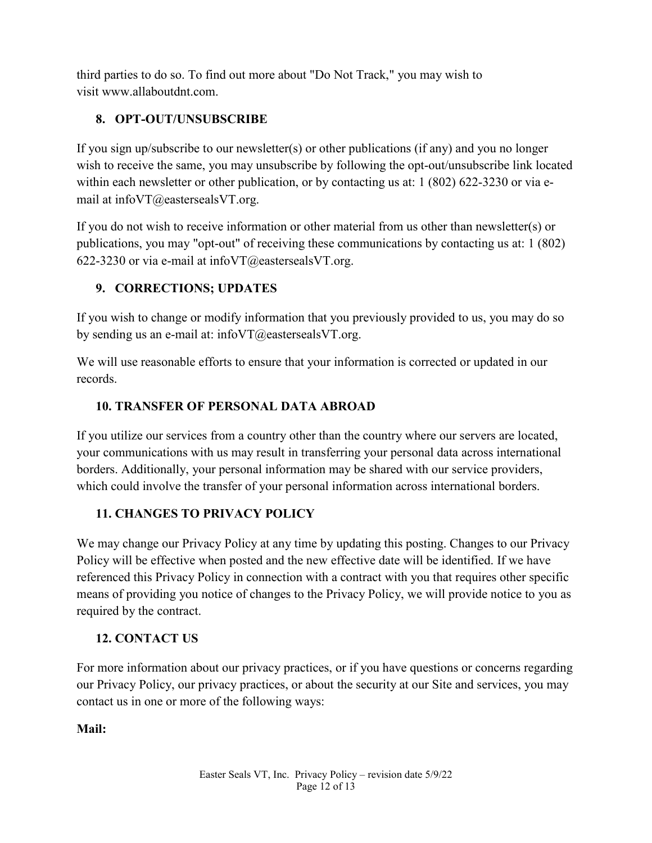third parties to do so. To find out more about "Do Not Track," you may wish to visit www.allaboutdnt.com.

## **8. OPT-OUT/UNSUBSCRIBE**

If you sign up/subscribe to our newsletter(s) or other publications (if any) and you no longer wish to receive the same, you may unsubscribe by following the opt-out/unsubscribe link located within each newsletter or other publication, or by contacting us at: 1 (802) 622-3230 or via email at infoVT@eastersealsVT.org.

If you do not wish to receive information or other material from us other than newsletter(s) or publications, you may "opt-out" of receiving these communications by contacting us at: 1 (802) 622-3230 or via e-mail at info $VT@e$ easterseals $VT.org$ .

## **9. CORRECTIONS; UPDATES**

If you wish to change or modify information that you previously provided to us, you may do so by sending us an e-mail at: infoVT@eastersealsVT.org.

We will use reasonable efforts to ensure that your information is corrected or updated in our records.

## **10. TRANSFER OF PERSONAL DATA ABROAD**

If you utilize our services from a country other than the country where our servers are located, your communications with us may result in transferring your personal data across international borders. Additionally, your personal information may be shared with our service providers, which could involve the transfer of your personal information across international borders.

### **11. CHANGES TO PRIVACY POLICY**

We may change our Privacy Policy at any time by updating this posting. Changes to our Privacy Policy will be effective when posted and the new effective date will be identified. If we have referenced this Privacy Policy in connection with a contract with you that requires other specific means of providing you notice of changes to the Privacy Policy, we will provide notice to you as required by the contract.

# **12. CONTACT US**

For more information about our privacy practices, or if you have questions or concerns regarding our Privacy Policy, our privacy practices, or about the security at our Site and services, you may contact us in one or more of the following ways:

**Mail:**